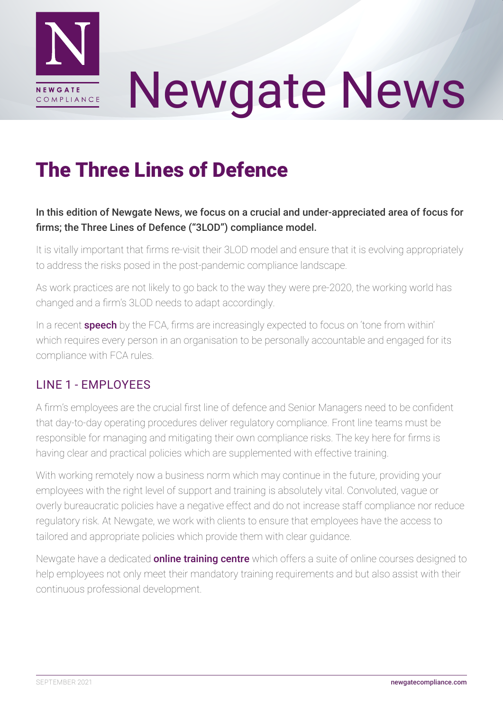

# Newgate News

## The Three Lines of Defence

#### In this edition of Newgate News, we focus on a crucial and under-appreciated area of focus for firms; the Three Lines of Defence ("3LOD") compliance model.

It is vitally important that firms re-visit their 3LOD model and ensure that it is evolving appropriately to address the risks posed in the post-pandemic compliance landscape.

As work practices are not likely to go back to the way they were pre-2020, the working world has changed and a firm's 3LOD needs to adapt accordingly.

In a recent **[speech](https://www.fca.org.uk/news/speeches/compliance-culture-and-evolving-regulatory-expectations-mark-steward)** by the FCA, firms are increasingly expected to focus on 'tone from within' which requires every person in an organisation to be personally accountable and engaged for its compliance with FCA rules.

#### LINE 1 - EMPLOYEES

A firm's employees are the crucial first line of defence and Senior Managers need to be confident that day-to-day operating procedures deliver regulatory compliance. Front line teams must be responsible for managing and mitigating their own compliance risks. The key here for firms is having clear and practical policies which are supplemented with effective training.

With working remotely now a business norm which may continue in the future, providing your employees with the right level of support and training is absolutely vital. Convoluted, vague or overly bureaucratic policies have a negative effect and do not increase staff compliance nor reduce regulatory risk. At Newgate, we work with clients to ensure that employees have the access to tailored and appropriate policies which provide them with clear guidance.

Newgate have a dedicated **[online training centre](http://newgatecompliance.com/regulatory-training)** which offers a suite of online courses designed to help employees not only meet their mandatory training requirements and but also assist with their continuous professional development.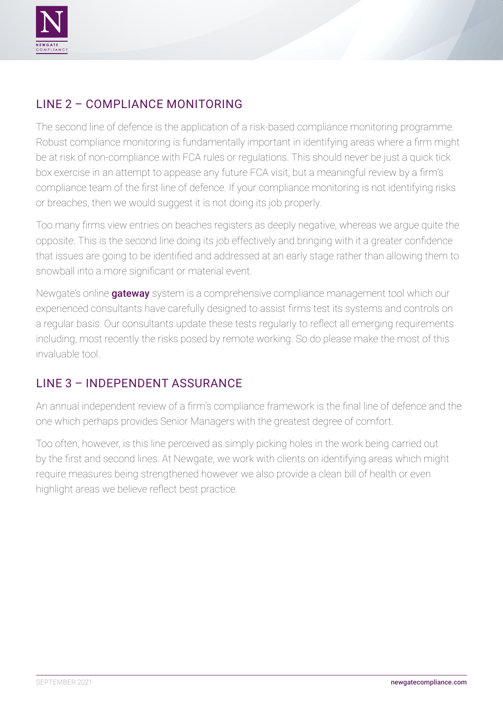

### LINE 2 – COMPLIANCE MONITORING

The second line of defence is the application of a risk-based compliance monitoring programme. Robust compliance monitoring is fundamentally important in identifying areas where a firm might be at risk of non-compliance with FCA rules or regulations. This should never be just a quick tick box exercise in an attempt to appease any future FCA visit, but a meaningful review by a firm's compliance team of the first line of defence. If your compliance monitoring is not identifying risks or breaches, then we would suggest it is not doing its job properly.

Too many firms view entries on beaches registers as deeply negative, whereas we argue quite the opposite. This is the second line doing its job effectively and bringing with it a greater confidence that issues are going to be identified and addressed at an early stage rather than allowing them to snowball into a more significant or material event.

Newgate's online [gateway](https://gatewayncl.com/) system is a comprehensive compliance management tool which our experienced consultants have carefully designed to assist firms test its systems and controls on a regular basis. Our consultants update these tests regularly to reflect all emerging requirements including, most recently the risks posed by remote working. So do please make the most of this invaluable tool.

#### LINE 3 – INDEPENDENT ASSURANCE

An annual independent review of a firm's compliance framework is the final line of defence and the one which perhaps provides Senior Managers with the greatest degree of comfort.

Too often, however, is this line perceived as simply picking holes in the work being carried out by the first and second lines. At Newgate, we work with clients on identifying areas which might require measures being strengthened however we also provide a clean bill of health or even highlight areas we believe reflect best practice.